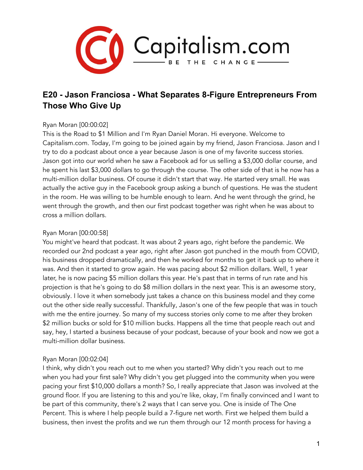

# **E20 - Jason Franciosa - What Separates 8-Figure Entrepreneurs From Those Who Give Up**

# Ryan Moran [00:00:02]

This is the Road to \$1 Million and I'm Ryan Daniel Moran. Hi everyone. Welcome to Capitalism.com. Today, I'm going to be joined again by my friend, Jason Franciosa. Jason and I try to do a podcast about once a year because Jason is one of my favorite success stories. Jason got into our world when he saw a Facebook ad for us selling a \$3,000 dollar course, and he spent his last \$3,000 dollars to go through the course. The other side of that is he now has a multi-million dollar business. Of course it didn't start that way. He started very small. He was actually the active guy in the Facebook group asking a bunch of questions. He was the student in the room. He was willing to be humble enough to learn. And he went through the grind, he went through the growth, and then our first podcast together was right when he was about to cross a million dollars.

## Ryan Moran [00:00:58]

You might've heard that podcast. It was about 2 years ago, right before the pandemic. We recorded our 2nd podcast a year ago, right after Jason got punched in the mouth from COVID, his business dropped dramatically, and then he worked for months to get it back up to where it was. And then it started to grow again. He was pacing about \$2 million dollars. Well, 1 year later, he is now pacing \$5 million dollars this year. He's past that in terms of run rate and his projection is that he's going to do \$8 million dollars in the next year. This is an awesome story, obviously. I love it when somebody just takes a chance on this business model and they come out the other side really successful. Thankfully, Jason's one of the few people that was in touch with me the entire journey. So many of my success stories only come to me after they broken \$2 million bucks or sold for \$10 million bucks. Happens all the time that people reach out and say, hey, I started a business because of your podcast, because of your book and now we got a multi-million dollar business.

## Ryan Moran [00:02:04]

I think, why didn't you reach out to me when you started? Why didn't you reach out to me when you had your first sale? Why didn't you get plugged into the community when you were pacing your first \$10,000 dollars a month? So, I really appreciate that Jason was involved at the ground floor. If you are listening to this and you're like, okay, I'm finally convinced and I want to be part of this community, there's 2 ways that I can serve you. One is inside of The One Percent. This is where I help people build a 7-figure net worth. First we helped them build a business, then invest the profits and we run them through our 12 month process for having a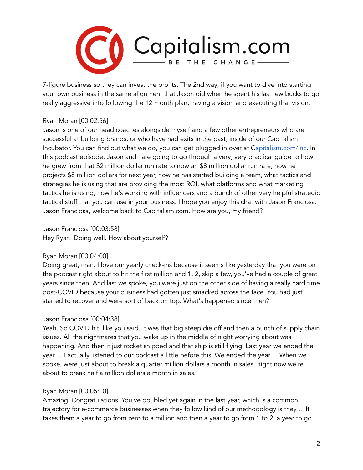

7-figure business so they can invest the profits. The 2nd way, if you want to dive into starting your own business in the same alignment that Jason did when he spent his last few bucks to go really aggressive into following the 12 month plan, having a vision and executing that vision.

# Ryan Moran [00:02:56]

Jason is one of our head coaches alongside myself and a few other entrepreneurs who are successful at building brands, or who have had exits in the past, inside of our Capitalism Incubator. You can find out what we do, you can get plugged in over at [Capitalism.com/inc](http://capitalism.com/inc). In this podcast episode, Jason and I are going to go through a very, very practical guide to how he grew from that \$2 million dollar run rate to now an \$8 million dollar run rate, how he projects \$8 million dollars for next year, how he has started building a team, what tactics and strategies he is using that are providing the most ROI, what platforms and what marketing tactics he is using, how he's working with influencers and a bunch of other very helpful strategic tactical stuff that you can use in your business. I hope you enjoy this chat with Jason Franciosa. Jason Franciosa, welcome back to Capitalism.com. How are you, my friend?

Jason Franciosa [00:03:58] Hey Ryan. Doing well. How about yourself?

## Ryan Moran [00:04:00]

Doing great, man. I love our yearly check-ins because it seems like yesterday that you were on the podcast right about to hit the first million and 1, 2, skip a few, you've had a couple of great years since then. And last we spoke, you were just on the other side of having a really hard time post-COVID because your business had gotten just smacked across the face. You had just started to recover and were sort of back on top. What's happened since then?

## Jason Franciosa [00:04:38]

Yeah. So COVID hit, like you said. It was that big steep die off and then a bunch of supply chain issues. All the nightmares that you wake up in the middle of night worrying about was happening. And then it just rocket shipped and that ship is still flying. Last year we ended the year ... I actually listened to our podcast a little before this. We ended the year ... When we spoke, were just about to break a quarter million dollars a month in sales. Right now we're about to break half a million dollars a month in sales.

# Ryan Moran [00:05:10]

Amazing. Congratulations. You've doubled yet again in the last year, which is a common trajectory for e-commerce businesses when they follow kind of our methodology is they ... It takes them a year to go from zero to a million and then a year to go from 1 to 2, a year to go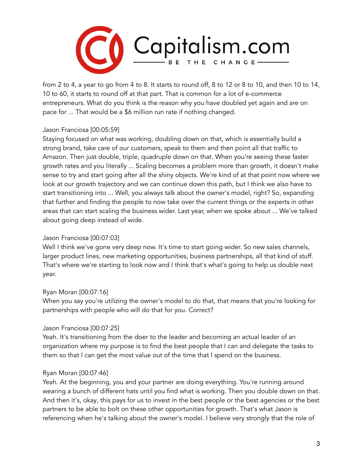

from 2 to 4, a year to go from 4 to 8. It starts to round off, 8 to 12 or 8 to 10, and then 10 to 14, 10 to 60, it starts to round off at that part. That is common for a lot of e-commerce entrepreneurs. What do you think is the reason why you have doubled yet again and are on pace for ... That would be a \$6 million run rate if nothing changed.

## Jason Franciosa [00:05:59]

Staying focused on what was working, doubling down on that, which is essentially build a strong brand, take care of our customers, speak to them and then point all that traffic to Amazon. Then just double, triple, quadruple down on that. When you're seeing these faster growth rates and you literally ... Scaling becomes a problem more than growth, it doesn't make sense to try and start going after all the shiny objects. We're kind of at that point now where we look at our growth trajectory and we can continue down this path, but I think we also have to start transitioning into ... Well, you always talk about the owner's model, right? So, expanding that further and finding the people to now take over the current things or the experts in other areas that can start scaling the business wider. Last year, when we spoke about ... We've talked about going deep instead of wide.

# Jason Franciosa [00:07:03]

Well I think we've gone very deep now. It's time to start going wider. So new sales channels, larger product lines, new marketing opportunities, business partnerships, all that kind of stuff. That's where we're starting to look now and I think that's what's going to help us double next year.

# Ryan Moran [00:07:16]

When you say you're utilizing the owner's model to do that, that means that you're looking for partnerships with people who will do that for you. Correct?

## Jason Franciosa [00:07:25]

Yeah. It's transitioning from the doer to the leader and becoming an actual leader of an organization where my purpose is to find the best people that I can and delegate the tasks to them so that I can get the most value out of the time that I spend on the business.

## Ryan Moran [00:07:46]

Yeah. At the beginning, you and your partner are doing everything. You're running around wearing a bunch of different hats until you find what is working. Then you double down on that. And then it's, okay, this pays for us to invest in the best people or the best agencies or the best partners to be able to bolt on these other opportunities for growth. That's what Jason is referencing when he's talking about the owner's model. I believe very strongly that the role of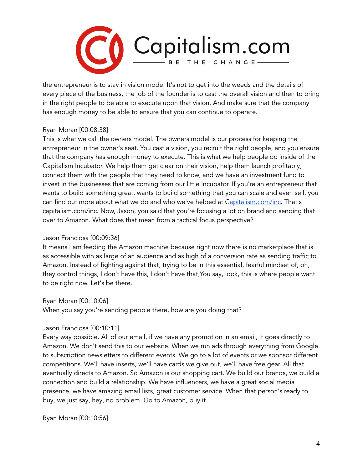

the entrepreneur is to stay in vision mode. It's not to get into the weeds and the details of every piece of the business, the job of the founder is to cast the overall vision and then to bring in the right people to be able to execute upon that vision. And make sure that the company has enough money to be able to ensure that you can continue to operate.

## Ryan Moran [00:08:38]

This is what we call the owners model. The owners model is our process for keeping the entrepreneur in the owner's seat. You cast a vision, you recruit the right people, and you ensure that the company has enough money to execute. This is what we help people do inside of the Capitalism Incubator. We help them get clear on their vision, help them launch profitably, connect them with the people that they need to know, and we have an investment fund to invest in the businesses that are coming from our little Incubator. If you're an entrepreneur that wants to build something great, wants to build something that you can scale and even sell, you can find out more about what we do and who we've helped at C[apitalism.com/inc.](http://capitalism.com/inc) That's capitalism.com/inc. Now, Jason, you said that you're focusing a lot on brand and sending that over to Amazon. What does that mean from a tactical focus perspective?

## Jason Franciosa [00:09:36]

It means I am feeding the Amazon machine because right now there is no marketplace that is as accessible with as large of an audience and as high of a conversion rate as sending traffic to Amazon. Instead of fighting against that, trying to be in this essential, fearful mindset of, oh, they control things, I don't have this, I don't have that,You say, look, this is where people want to be right now. Let's be there.

## Ryan Moran [00:10:06]

When you say you're sending people there, how are you doing that?

## Jason Franciosa [00:10:11]

Every way possible. All of our email, if we have any promotion in an email, it goes directly to Amazon. We don't send this to our website. When we run ads through everything from Google to subscription newsletters to different events. We go to a lot of events or we sponsor different competitions. We'll have inserts, we'll have cards we give out, we'll have free gear. All that eventually directs to Amazon. So Amazon is our shopping cart. We build our brands, we build a connection and build a relationship. We have influencers, we have a great social media presence, we have amazing email lists, great customer service. When that person's ready to buy, we just say, hey, no problem. Go to Amazon, buy it.

Ryan Moran [00:10:56]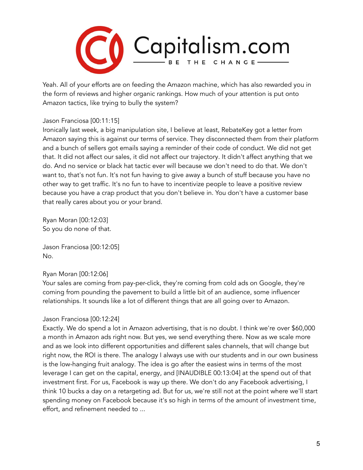

Yeah. All of your efforts are on feeding the Amazon machine, which has also rewarded you in the form of reviews and higher organic rankings. How much of your attention is put onto Amazon tactics, like trying to bully the system?

## Jason Franciosa [00:11:15]

Ironically last week, a big manipulation site, I believe at least, RebateKey got a letter from Amazon saying this is against our terms of service. They disconnected them from their platform and a bunch of sellers got emails saying a reminder of their code of conduct. We did not get that. It did not affect our sales, it did not affect our trajectory. It didn't affect anything that we do. And no service or black hat tactic ever will because we don't need to do that. We don't want to, that's not fun. It's not fun having to give away a bunch of stuff because you have no other way to get traffic. It's no fun to have to incentivize people to leave a positive review because you have a crap product that you don't believe in. You don't have a customer base that really cares about you or your brand.

Ryan Moran [00:12:03] So you do none of that.

Jason Franciosa [00:12:05] No.

## Ryan Moran [00:12:06]

Your sales are coming from pay-per-click, they're coming from cold ads on Google, they're coming from pounding the pavement to build a little bit of an audience, some influencer relationships. It sounds like a lot of different things that are all going over to Amazon.

## Jason Franciosa [00:12:24]

Exactly. We do spend a lot in Amazon advertising, that is no doubt. I think we're over \$60,000 a month in Amazon ads right now. But yes, we send everything there. Now as we scale more and as we look into different opportunities and different sales channels, that will change but right now, the ROI is there. The analogy I always use with our students and in our own business is the low-hanging fruit analogy. The idea is go after the easiest wins in terms of the most leverage I can get on the capital, energy, and [INAUDIBLE 00:13:04] at the spend out of that investment first. For us, Facebook is way up there. We don't do any Facebook advertising, I think 10 bucks a day on a retargeting ad. But for us, we're still not at the point where we'll start spending money on Facebook because it's so high in terms of the amount of investment time, effort, and refinement needed to ...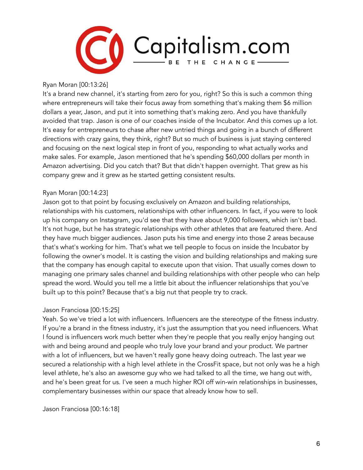

Ryan Moran [00:13:26]

It's a brand new channel, it's starting from zero for you, right? So this is such a common thing where entrepreneurs will take their focus away from something that's making them \$6 million dollars a year, Jason, and put it into something that's making zero. And you have thankfully avoided that trap. Jason is one of our coaches inside of the Incubator. And this comes up a lot. It's easy for entrepreneurs to chase after new untried things and going in a bunch of different directions with crazy gains, they think, right? But so much of business is just staying centered and focusing on the next logical step in front of you, responding to what actually works and make sales. For example, Jason mentioned that he's spending \$60,000 dollars per month in Amazon advertising. Did you catch that? But that didn't happen overnight. That grew as his company grew and it grew as he started getting consistent results.

#### Ryan Moran [00:14:23]

Jason got to that point by focusing exclusively on Amazon and building relationships, relationships with his customers, relationships with other influencers. In fact, if you were to look up his company on Instagram, you'd see that they have about 9,000 followers, which isn't bad. It's not huge, but he has strategic relationships with other athletes that are featured there. And they have much bigger audiences. Jason puts his time and energy into those 2 areas because that's what's working for him. That's what we tell people to focus on inside the Incubator by following the owner's model. It is casting the vision and building relationships and making sure that the company has enough capital to execute upon that vision. That usually comes down to managing one primary sales channel and building relationships with other people who can help spread the word. Would you tell me a little bit about the influencer relationships that you've built up to this point? Because that's a big nut that people try to crack.

#### Jason Franciosa [00:15:25]

Yeah. So we've tried a lot with influencers. Influencers are the stereotype of the fitness industry. If you're a brand in the fitness industry, it's just the assumption that you need influencers. What I found is influencers work much better when they're people that you really enjoy hanging out with and being around and people who truly love your brand and your product. We partner with a lot of influencers, but we haven't really gone heavy doing outreach. The last year we secured a relationship with a high level athlete in the CrossFit space, but not only was he a high level athlete, he's also an awesome guy who we had talked to all the time, we hang out with, and he's been great for us. I've seen a much higher ROI off win-win relationships in businesses, complementary businesses within our space that already know how to sell.

Jason Franciosa [00:16:18]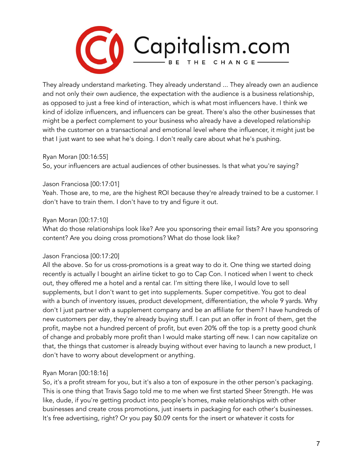

They already understand marketing. They already understand ... They already own an audience and not only their own audience, the expectation with the audience is a business relationship, as opposed to just a free kind of interaction, which is what most influencers have. I think we kind of idolize influencers, and influencers can be great. There's also the other businesses that might be a perfect complement to your business who already have a developed relationship with the customer on a transactional and emotional level where the influencer, it might just be that I just want to see what he's doing. I don't really care about what he's pushing.

#### Ryan Moran [00:16:55]

So, your influencers are actual audiences of other businesses. Is that what you're saying?

#### Jason Franciosa [00:17:01]

Yeah. Those are, to me, are the highest ROI because they're already trained to be a customer. I don't have to train them. I don't have to try and figure it out.

#### Ryan Moran [00:17:10]

What do those relationships look like? Are you sponsoring their email lists? Are you sponsoring content? Are you doing cross promotions? What do those look like?

## Jason Franciosa [00:17:20]

All the above. So for us cross-promotions is a great way to do it. One thing we started doing recently is actually I bought an airline ticket to go to Cap Con. I noticed when I went to check out, they offered me a hotel and a rental car. I'm sitting there like, I would love to sell supplements, but I don't want to get into supplements. Super competitive. You got to deal with a bunch of inventory issues, product development, differentiation, the whole 9 yards. Why don't I just partner with a supplement company and be an affiliate for them? I have hundreds of new customers per day, they're already buying stuff. I can put an offer in front of them, get the profit, maybe not a hundred percent of profit, but even 20% off the top is a pretty good chunk of change and probably more profit than I would make starting off new. I can now capitalize on that, the things that customer is already buying without ever having to launch a new product, I don't have to worry about development or anything.

## Ryan Moran [00:18:16]

So, it's a profit stream for you, but it's also a ton of exposure in the other person's packaging. This is one thing that Travis Sago told me to me when we first started Sheer Strength. He was like, dude, if you're getting product into people's homes, make relationships with other businesses and create cross promotions, just inserts in packaging for each other's businesses. It's free advertising, right? Or you pay \$0.09 cents for the insert or whatever it costs for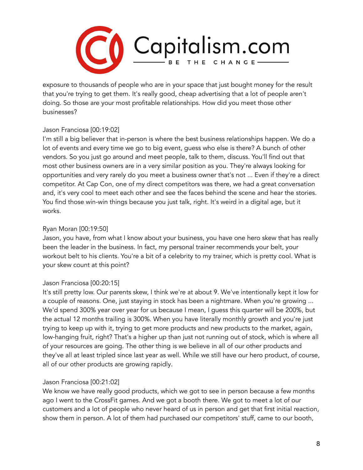

exposure to thousands of people who are in your space that just bought money for the result that you're trying to get them. It's really good, cheap advertising that a lot of people aren't doing. So those are your most profitable relationships. How did you meet those other businesses?

# Jason Franciosa [00:19:02]

I'm still a big believer that in-person is where the best business relationships happen. We do a lot of events and every time we go to big event, guess who else is there? A bunch of other vendors. So you just go around and meet people, talk to them, discuss. You'll find out that most other business owners are in a very similar position as you. They're always looking for opportunities and very rarely do you meet a business owner that's not ... Even if they're a direct competitor. At Cap Con, one of my direct competitors was there, we had a great conversation and, it's very cool to meet each other and see the faces behind the scene and hear the stories. You find those win-win things because you just talk, right. It's weird in a digital age, but it works.

# Ryan Moran [00:19:50]

Jason, you have, from what I know about your business, you have one hero skew that has really been the leader in the business. In fact, my personal trainer recommends your belt, your workout belt to his clients. You're a bit of a celebrity to my trainer, which is pretty cool. What is your skew count at this point?

# Jason Franciosa [00:20:15]

It's still pretty low. Our parents skew, I think we're at about 9. We've intentionally kept it low for a couple of reasons. One, just staying in stock has been a nightmare. When you're growing ... We'd spend 300% year over year for us because I mean, I guess this quarter will be 200%, but the actual 12 months trailing is 300%. When you have literally monthly growth and you're just trying to keep up with it, trying to get more products and new products to the market, again, low-hanging fruit, right? That's a higher up than just not running out of stock, which is where all of your resources are going. The other thing is we believe in all of our other products and they've all at least tripled since last year as well. While we still have our hero product, of course, all of our other products are growing rapidly.

## Jason Franciosa [00:21:02]

We know we have really good products, which we got to see in person because a few months ago I went to the CrossFit games. And we got a booth there. We got to meet a lot of our customers and a lot of people who never heard of us in person and get that first initial reaction, show them in person. A lot of them had purchased our competitors' stuff, came to our booth,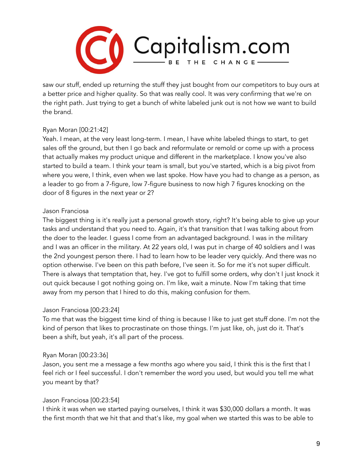

saw our stuff, ended up returning the stuff they just bought from our competitors to buy ours at a better price and higher quality. So that was really cool. It was very confirming that we're on the right path. Just trying to get a bunch of white labeled junk out is not how we want to build the brand.

# Ryan Moran [00:21:42]

Yeah. I mean, at the very least long-term. I mean, I have white labeled things to start, to get sales off the ground, but then I go back and reformulate or remold or come up with a process that actually makes my product unique and different in the marketplace. I know you've also started to build a team. I think your team is small, but you've started, which is a big pivot from where you were, I think, even when we last spoke. How have you had to change as a person, as a leader to go from a 7-figure, low 7-figure business to now high 7 figures knocking on the door of 8 figures in the next year or 2?

## Jason Franciosa

The biggest thing is it's really just a personal growth story, right? It's being able to give up your tasks and understand that you need to. Again, it's that transition that I was talking about from the doer to the leader. I guess I come from an advantaged background. I was in the military and I was an officer in the military. At 22 years old, I was put in charge of 40 soldiers and I was the 2nd youngest person there. I had to learn how to be leader very quickly. And there was no option otherwise. I've been on this path before, I've seen it. So for me it's not super difficult. There is always that temptation that, hey. I've got to fulfill some orders, why don't I just knock it out quick because I got nothing going on. I'm like, wait a minute. Now I'm taking that time away from my person that I hired to do this, making confusion for them.

## Jason Franciosa [00:23:24]

To me that was the biggest time kind of thing is because I like to just get stuff done. I'm not the kind of person that likes to procrastinate on those things. I'm just like, oh, just do it. That's been a shift, but yeah, it's all part of the process.

## Ryan Moran [00:23:36]

Jason, you sent me a message a few months ago where you said, I think this is the first that I feel rich or I feel successful. I don't remember the word you used, but would you tell me what you meant by that?

## Jason Franciosa [00:23:54]

I think it was when we started paying ourselves, I think it was \$30,000 dollars a month. It was the first month that we hit that and that's like, my goal when we started this was to be able to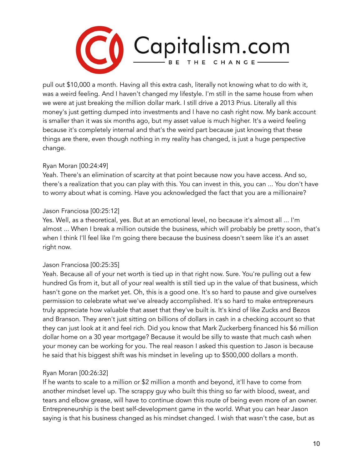

pull out \$10,000 a month. Having all this extra cash, literally not knowing what to do with it, was a weird feeling. And I haven't changed my lifestyle. I'm still in the same house from when we were at just breaking the million dollar mark. I still drive a 2013 Prius. Literally all this money's just getting dumped into investments and I have no cash right now. My bank account is smaller than it was six months ago, but my asset value is much higher. It's a weird feeling because it's completely internal and that's the weird part because just knowing that these things are there, even though nothing in my reality has changed, is just a huge perspective change.

# Ryan Moran [00:24:49]

Yeah. There's an elimination of scarcity at that point because now you have access. And so, there's a realization that you can play with this. You can invest in this, you can ... You don't have to worry about what is coming. Have you acknowledged the fact that you are a millionaire?

## Jason Franciosa [00:25:12]

Yes. Well, as a theoretical, yes. But at an emotional level, no because it's almost all ... I'm almost ... When I break a million outside the business, which will probably be pretty soon, that's when I think I'll feel like I'm going there because the business doesn't seem like it's an asset right now.

## Jason Franciosa [00:25:35]

Yeah. Because all of your net worth is tied up in that right now. Sure. You're pulling out a few hundred Gs from it, but all of your real wealth is still tied up in the value of that business, which hasn't gone on the market yet. Oh, this is a good one. It's so hard to pause and give ourselves permission to celebrate what we've already accomplished. It's so hard to make entrepreneurs truly appreciate how valuable that asset that they've built is. It's kind of like Zucks and Bezos and Branson. They aren't just sitting on billions of dollars in cash in a checking account so that they can just look at it and feel rich. Did you know that Mark Zuckerberg financed his \$6 million dollar home on a 30 year mortgage? Because it would be silly to waste that much cash when your money can be working for you. The real reason I asked this question to Jason is because he said that his biggest shift was his mindset in leveling up to \$500,000 dollars a month.

## Ryan Moran [00:26:32]

If he wants to scale to a million or \$2 million a month and beyond, it'll have to come from another mindset level up. The scrappy guy who built this thing so far with blood, sweat, and tears and elbow grease, will have to continue down this route of being even more of an owner. Entrepreneurship is the best self-development game in the world. What you can hear Jason saying is that his business changed as his mindset changed. I wish that wasn't the case, but as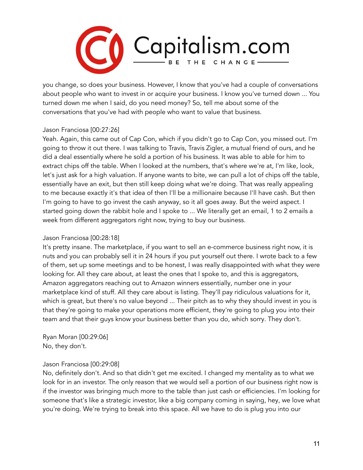

you change, so does your business. However, I know that you've had a couple of conversations about people who want to invest in or acquire your business. I know you've turned down ... You turned down me when I said, do you need money? So, tell me about some of the conversations that you've had with people who want to value that business.

## Jason Franciosa [00:27:26]

Yeah. Again, this came out of Cap Con, which if you didn't go to Cap Con, you missed out. I'm going to throw it out there. I was talking to Travis, Travis Zigler, a mutual friend of ours, and he did a deal essentially where he sold a portion of his business. It was able to able for him to extract chips off the table. When I looked at the numbers, that's where we're at, I'm like, look, let's just ask for a high valuation. If anyone wants to bite, we can pull a lot of chips off the table, essentially have an exit, but then still keep doing what we're doing. That was really appealing to me because exactly it's that idea of then I'll be a millionaire because I'll have cash. But then I'm going to have to go invest the cash anyway, so it all goes away. But the weird aspect. I started going down the rabbit hole and I spoke to ... We literally get an email, 1 to 2 emails a week from different aggregators right now, trying to buy our business.

#### Jason Franciosa [00:28:18]

It's pretty insane. The marketplace, if you want to sell an e-commerce business right now, it is nuts and you can probably sell it in 24 hours if you put yourself out there. I wrote back to a few of them, set up some meetings and to be honest, I was really disappointed with what they were looking for. All they care about, at least the ones that I spoke to, and this is aggregators, Amazon aggregators reaching out to Amazon winners essentially, number one in your marketplace kind of stuff. All they care about is listing. They'll pay ridiculous valuations for it, which is great, but there's no value beyond ... Their pitch as to why they should invest in you is that they're going to make your operations more efficient, they're going to plug you into their team and that their guys know your business better than you do, which sorry. They don't.

Ryan Moran [00:29:06] No, they don't.

## Jason Franciosa [00:29:08]

No, definitely don't. And so that didn't get me excited. I changed my mentality as to what we look for in an investor. The only reason that we would sell a portion of our business right now is if the investor was bringing much more to the table than just cash or efficiencies. I'm looking for someone that's like a strategic investor, like a big company coming in saying, hey, we love what you're doing. We're trying to break into this space. All we have to do is plug you into our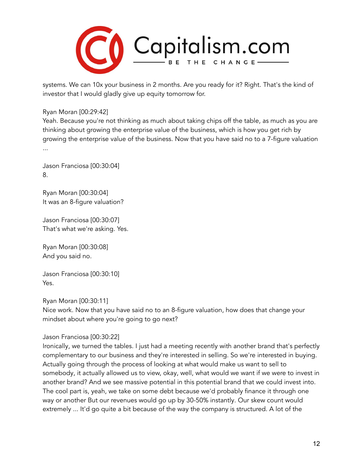

systems. We can 10x your business in 2 months. Are you ready for it? Right. That's the kind of investor that I would gladly give up equity tomorrow for.

Ryan Moran [00:29:42]

Yeah. Because you're not thinking as much about taking chips off the table, as much as you are thinking about growing the enterprise value of the business, which is how you get rich by growing the enterprise value of the business. Now that you have said no to a 7-figure valuation ...

Jason Franciosa [00:30:04] 8.

Ryan Moran [00:30:04] It was an 8-figure valuation?

Jason Franciosa [00:30:07] That's what we're asking. Yes.

Ryan Moran [00:30:08] And you said no.

Jason Franciosa [00:30:10] Yes.

Ryan Moran [00:30:11]

Nice work. Now that you have said no to an 8-figure valuation, how does that change your mindset about where you're going to go next?

Jason Franciosa [00:30:22]

Ironically, we turned the tables. I just had a meeting recently with another brand that's perfectly complementary to our business and they're interested in selling. So we're interested in buying. Actually going through the process of looking at what would make us want to sell to somebody, it actually allowed us to view, okay, well, what would we want if we were to invest in another brand? And we see massive potential in this potential brand that we could invest into. The cool part is, yeah, we take on some debt because we'd probably finance it through one way or another But our revenues would go up by 30-50% instantly. Our skew count would extremely ... It'd go quite a bit because of the way the company is structured. A lot of the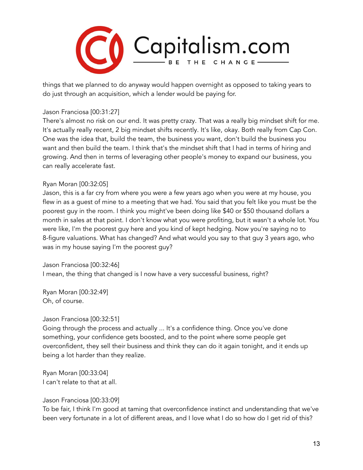

things that we planned to do anyway would happen overnight as opposed to taking years to do just through an acquisition, which a lender would be paying for.

#### Jason Franciosa [00:31:27]

There's almost no risk on our end. It was pretty crazy. That was a really big mindset shift for me. It's actually really recent, 2 big mindset shifts recently. It's like, okay. Both really from Cap Con. One was the idea that, build the team, the business you want, don't build the business you want and then build the team. I think that's the mindset shift that I had in terms of hiring and growing. And then in terms of leveraging other people's money to expand our business, you can really accelerate fast.

#### Ryan Moran [00:32:05]

Jason, this is a far cry from where you were a few years ago when you were at my house, you flew in as a guest of mine to a meeting that we had. You said that you felt like you must be the poorest guy in the room. I think you might've been doing like \$40 or \$50 thousand dollars a month in sales at that point. I don't know what you were profiting, but it wasn't a whole lot. You were like, I'm the poorest guy here and you kind of kept hedging. Now you're saying no to 8-figure valuations. What has changed? And what would you say to that guy 3 years ago, who was in my house saying I'm the poorest guy?

Jason Franciosa [00:32:46]

I mean, the thing that changed is I now have a very successful business, right?

Ryan Moran [00:32:49] Oh, of course.

#### Jason Franciosa [00:32:51]

Going through the process and actually ... It's a confidence thing. Once you've done something, your confidence gets boosted, and to the point where some people get overconfident, they sell their business and think they can do it again tonight, and it ends up being a lot harder than they realize.

Ryan Moran [00:33:04] I can't relate to that at all.

Jason Franciosa [00:33:09]

To be fair, I think I'm good at taming that overconfidence instinct and understanding that we've been very fortunate in a lot of different areas, and I love what I do so how do I get rid of this?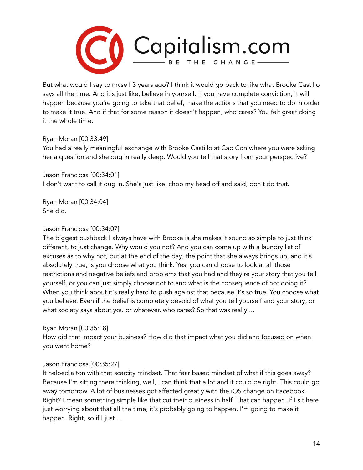

But what would I say to myself 3 years ago? I think it would go back to like what Brooke Castillo says all the time. And it's just like, believe in yourself. If you have complete conviction, it will happen because you're going to take that belief, make the actions that you need to do in order to make it true. And if that for some reason it doesn't happen, who cares? You felt great doing it the whole time.

## Ryan Moran [00:33:49]

You had a really meaningful exchange with Brooke Castillo at Cap Con where you were asking her a question and she dug in really deep. Would you tell that story from your perspective?

Jason Franciosa [00:34:01] I don't want to call it dug in. She's just like, chop my head off and said, don't do that.

Ryan Moran [00:34:04] She did.

## Jason Franciosa [00:34:07]

The biggest pushback I always have with Brooke is she makes it sound so simple to just think different, to just change. Why would you not? And you can come up with a laundry list of excuses as to why not, but at the end of the day, the point that she always brings up, and it's absolutely true, is you choose what you think. Yes, you can choose to look at all those restrictions and negative beliefs and problems that you had and they're your story that you tell yourself, or you can just simply choose not to and what is the consequence of not doing it? When you think about it's really hard to push against that because it's so true. You choose what you believe. Even if the belief is completely devoid of what you tell yourself and your story, or what society says about you or whatever, who cares? So that was really ...

#### Ryan Moran [00:35:18]

How did that impact your business? How did that impact what you did and focused on when you went home?

## Jason Franciosa [00:35:27]

It helped a ton with that scarcity mindset. That fear based mindset of what if this goes away? Because I'm sitting there thinking, well, I can think that a lot and it could be right. This could go away tomorrow. A lot of businesses got affected greatly with the iOS change on Facebook. Right? I mean something simple like that cut their business in half. That can happen. If I sit here just worrying about that all the time, it's probably going to happen. I'm going to make it happen. Right, so if I just ...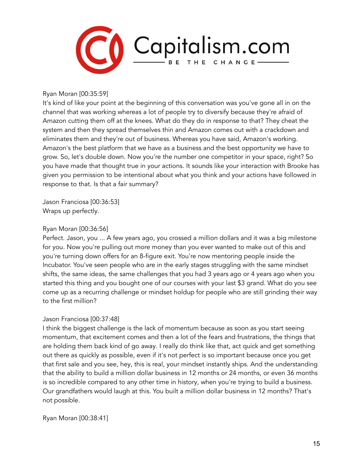

Ryan Moran [00:35:59]

It's kind of like your point at the beginning of this conversation was you've gone all in on the channel that was working whereas a lot of people try to diversify because they're afraid of Amazon cutting them off at the knees. What do they do in response to that? They cheat the system and then they spread themselves thin and Amazon comes out with a crackdown and eliminates them and they're out of business. Whereas you have said, Amazon's working. Amazon's the best platform that we have as a business and the best opportunity we have to grow. So, let's double down. Now you're the number one competitor in your space, right? So you have made that thought true in your actions. It sounds like your interaction with Brooke has given you permission to be intentional about what you think and your actions have followed in response to that. Is that a fair summary?

Jason Franciosa [00:36:53] Wraps up perfectly.

## Ryan Moran [00:36:56]

Perfect. Jason, you ... A few years ago, you crossed a million dollars and it was a big milestone for you. Now you're pulling out more money than you ever wanted to make out of this and you're turning down offers for an 8-figure exit. You're now mentoring people inside the Incubator. You've seen people who are in the early stages struggling with the same mindset shifts, the same ideas, the same challenges that you had 3 years ago or 4 years ago when you started this thing and you bought one of our courses with your last \$3 grand. What do you see come up as a recurring challenge or mindset holdup for people who are still grinding their way to the first million?

## Jason Franciosa [00:37:48]

I think the biggest challenge is the lack of momentum because as soon as you start seeing momentum, that excitement comes and then a lot of the fears and frustrations, the things that are holding them back kind of go away. I really do think like that, act quick and get something out there as quickly as possible, even if it's not perfect is so important because once you get that first sale and you see, hey, this is real, your mindset instantly ships. And the understanding that the ability to build a million dollar business in 12 months or 24 months, or even 36 months is so incredible compared to any other time in history, when you're trying to build a business. Our grandfathers would laugh at this. You built a million dollar business in 12 months? That's not possible.

Ryan Moran [00:38:41]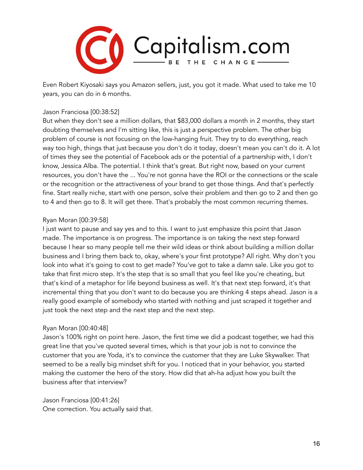

Even Robert Kiyosaki says you Amazon sellers, just, you got it made. What used to take me 10 years, you can do in 6 months.

#### Jason Franciosa [00:38:52]

But when they don't see a million dollars, that \$83,000 dollars a month in 2 months, they start doubting themselves and I'm sitting like, this is just a perspective problem. The other big problem of course is not focusing on the low-hanging fruit. They try to do everything, reach way too high, things that just because you don't do it today, doesn't mean you can't do it. A lot of times they see the potential of Facebook ads or the potential of a partnership with, I don't know, Jessica Alba. The potential. I think that's great. But right now, based on your current resources, you don't have the ... You're not gonna have the ROI or the connections or the scale or the recognition or the attractiveness of your brand to get those things. And that's perfectly fine. Start really niche, start with one person, solve their problem and then go to 2 and then go to 4 and then go to 8. It will get there. That's probably the most common recurring themes.

#### Ryan Moran [00:39:58]

I just want to pause and say yes and to this. I want to just emphasize this point that Jason made. The importance is on progress. The importance is on taking the next step forward because I hear so many people tell me their wild ideas or think about building a million dollar business and I bring them back to, okay, where's your first prototype? All right. Why don't you look into what it's going to cost to get made? You've got to take a damn sale. Like you got to take that first micro step. It's the step that is so small that you feel like you're cheating, but that's kind of a metaphor for life beyond business as well. It's that next step forward, it's that incremental thing that you don't want to do because you are thinking 4 steps ahead. Jason is a really good example of somebody who started with nothing and just scraped it together and just took the next step and the next step and the next step.

#### Ryan Moran [00:40:48]

Jason's 100% right on point here. Jason, the first time we did a podcast together, we had this great line that you've quoted several times, which is that your job is not to convince the customer that you are Yoda, it's to convince the customer that they are Luke Skywalker. That seemed to be a really big mindset shift for you. I noticed that in your behavior, you started making the customer the hero of the story. How did that ah-ha adjust how you built the business after that interview?

Jason Franciosa [00:41:26] One correction. You actually said that.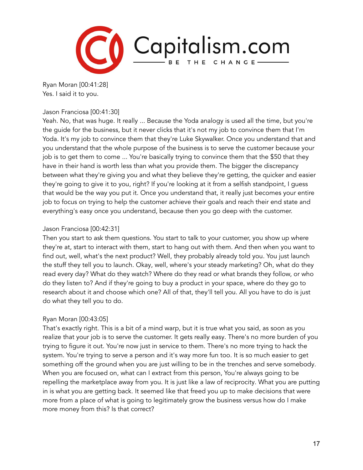

Ryan Moran [00:41:28] Yes. I said it to you.

#### Jason Franciosa [00:41:30]

Yeah. No, that was huge. It really ... Because the Yoda analogy is used all the time, but you're the guide for the business, but it never clicks that it's not my job to convince them that I'm Yoda. It's my job to convince them that they're Luke Skywalker. Once you understand that and you understand that the whole purpose of the business is to serve the customer because your job is to get them to come ... You're basically trying to convince them that the \$50 that they have in their hand is worth less than what you provide them. The bigger the discrepancy between what they're giving you and what they believe they're getting, the quicker and easier they're going to give it to you, right? If you're looking at it from a selfish standpoint, I guess that would be the way you put it. Once you understand that, it really just becomes your entire job to focus on trying to help the customer achieve their goals and reach their end state and everything's easy once you understand, because then you go deep with the customer.

## Jason Franciosa [00:42:31]

Then you start to ask them questions. You start to talk to your customer, you show up where they're at, start to interact with them, start to hang out with them. And then when you want to find out, well, what's the next product? Well, they probably already told you. You just launch the stuff they tell you to launch. Okay, well, where's your steady marketing? Oh, what do they read every day? What do they watch? Where do they read or what brands they follow, or who do they listen to? And if they're going to buy a product in your space, where do they go to research about it and choose which one? All of that, they'll tell you. All you have to do is just do what they tell you to do.

## Ryan Moran [00:43:05]

That's exactly right. This is a bit of a mind warp, but it is true what you said, as soon as you realize that your job is to serve the customer. It gets really easy. There's no more burden of you trying to figure it out. You're now just in service to them. There's no more trying to hack the system. You're trying to serve a person and it's way more fun too. It is so much easier to get something off the ground when you are just willing to be in the trenches and serve somebody. When you are focused on, what can I extract from this person, You're always going to be repelling the marketplace away from you. It is just like a law of reciprocity. What you are putting in is what you are getting back. It seemed like that freed you up to make decisions that were more from a place of what is going to legitimately grow the business versus how do I make more money from this? Is that correct?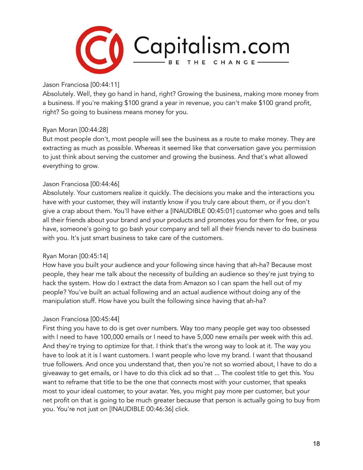

Jason Franciosa [00:44:11]

Absolutely. Well, they go hand in hand, right? Growing the business, making more money from a business. If you're making \$100 grand a year in revenue, you can't make \$100 grand profit, right? So going to business means money for you.

## Ryan Moran [00:44:28]

But most people don't, most people will see the business as a route to make money. They are extracting as much as possible. Whereas it seemed like that conversation gave you permission to just think about serving the customer and growing the business. And that's what allowed everything to grow.

## Jason Franciosa [00:44:46]

Absolutely. Your customers realize it quickly. The decisions you make and the interactions you have with your customer, they will instantly know if you truly care about them, or if you don't give a crap about them. You'll have either a [INAUDIBLE 00:45:01] customer who goes and tells all their friends about your brand and your products and promotes you for them for free, or you have, someone's going to go bash your company and tell all their friends never to do business with you. It's just smart business to take care of the customers.

## Ryan Moran [00:45:14]

How have you built your audience and your following since having that ah-ha? Because most people, they hear me talk about the necessity of building an audience so they're just trying to hack the system. How do I extract the data from Amazon so I can spam the hell out of my people? You've built an actual following and an actual audience without doing any of the manipulation stuff. How have you built the following since having that ah-ha?

## Jason Franciosa [00:45:44]

First thing you have to do is get over numbers. Way too many people get way too obsessed with I need to have 100,000 emails or I need to have 5,000 new emails per week with this ad. And they're trying to optimize for that. I think that's the wrong way to look at it. The way you have to look at it is I want customers. I want people who love my brand. I want that thousand true followers. And once you understand that, then you're not so worried about, I have to do a giveaway to get emails, or I have to do this click ad so that ... The coolest title to get this. You want to reframe that title to be the one that connects most with your customer, that speaks most to your ideal customer, to your avatar. Yes, you might pay more per customer, but your net profit on that is going to be much greater because that person is actually going to buy from you. You're not just on [INAUDIBLE 00:46:36] click.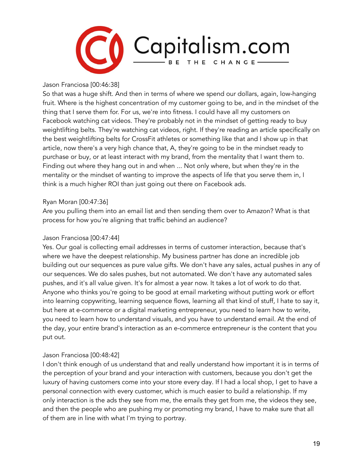

Jason Franciosa [00:46:38]

So that was a huge shift. And then in terms of where we spend our dollars, again, low-hanging fruit. Where is the highest concentration of my customer going to be, and in the mindset of the thing that I serve them for. For us, we're into fitness. I could have all my customers on Facebook watching cat videos. They're probably not in the mindset of getting ready to buy weightlifting belts. They're watching cat videos, right. If they're reading an article specifically on the best weightlifting belts for CrossFit athletes or something like that and I show up in that article, now there's a very high chance that, A, they're going to be in the mindset ready to purchase or buy, or at least interact with my brand, from the mentality that I want them to. Finding out where they hang out in and when ... Not only where, but when they're in the mentality or the mindset of wanting to improve the aspects of life that you serve them in, I think is a much higher ROI than just going out there on Facebook ads.

## Ryan Moran [00:47:36]

Are you pulling them into an email list and then sending them over to Amazon? What is that process for how you're aligning that traffic behind an audience?

## Jason Franciosa [00:47:44]

Yes. Our goal is collecting email addresses in terms of customer interaction, because that's where we have the deepest relationship. My business partner has done an incredible job building out our sequences as pure value gifts. We don't have any sales, actual pushes in any of our sequences. We do sales pushes, but not automated. We don't have any automated sales pushes, and it's all value given. It's for almost a year now. It takes a lot of work to do that. Anyone who thinks you're going to be good at email marketing without putting work or effort into learning copywriting, learning sequence flows, learning all that kind of stuff, I hate to say it, but here at e-commerce or a digital marketing entrepreneur, you need to learn how to write, you need to learn how to understand visuals, and you have to understand email. At the end of the day, your entire brand's interaction as an e-commerce entrepreneur is the content that you put out.

## Jason Franciosa [00:48:42]

I don't think enough of us understand that and really understand how important it is in terms of the perception of your brand and your interaction with customers, because you don't get the luxury of having customers come into your store every day. If I had a local shop, I get to have a personal connection with every customer, which is much easier to build a relationship. If my only interaction is the ads they see from me, the emails they get from me, the videos they see, and then the people who are pushing my or promoting my brand, I have to make sure that all of them are in line with what I'm trying to portray.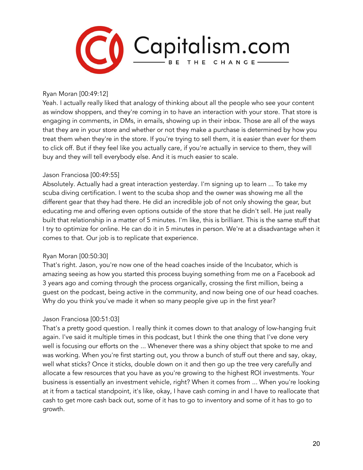

#### Ryan Moran [00:49:12]

Yeah. I actually really liked that analogy of thinking about all the people who see your content as window shoppers, and they're coming in to have an interaction with your store. That store is engaging in comments, in DMs, in emails, showing up in their inbox. Those are all of the ways that they are in your store and whether or not they make a purchase is determined by how you treat them when they're in the store. If you're trying to sell them, it is easier than ever for them to click off. But if they feel like you actually care, if you're actually in service to them, they will buy and they will tell everybody else. And it is much easier to scale.

#### Jason Franciosa [00:49:55]

Absolutely. Actually had a great interaction yesterday. I'm signing up to learn ... To take my scuba diving certification. I went to the scuba shop and the owner was showing me all the different gear that they had there. He did an incredible job of not only showing the gear, but educating me and offering even options outside of the store that he didn't sell. He just really built that relationship in a matter of 5 minutes. I'm like, this is brilliant. This is the same stuff that I try to optimize for online. He can do it in 5 minutes in person. We're at a disadvantage when it comes to that. Our job is to replicate that experience.

#### Ryan Moran [00:50:30]

That's right. Jason, you're now one of the head coaches inside of the Incubator, which is amazing seeing as how you started this process buying something from me on a Facebook ad 3 years ago and coming through the process organically, crossing the first million, being a guest on the podcast, being active in the community, and now being one of our head coaches. Why do you think you've made it when so many people give up in the first year?

## Jason Franciosa [00:51:03]

That's a pretty good question. I really think it comes down to that analogy of low-hanging fruit again. I've said it multiple times in this podcast, but I think the one thing that I've done very well is focusing our efforts on the ... Whenever there was a shiny object that spoke to me and was working. When you're first starting out, you throw a bunch of stuff out there and say, okay, well what sticks? Once it sticks, double down on it and then go up the tree very carefully and allocate a few resources that you have as you're growing to the highest ROI investments. Your business is essentially an investment vehicle, right? When it comes from ... When you're looking at it from a tactical standpoint, it's like, okay, I have cash coming in and I have to reallocate that cash to get more cash back out, some of it has to go to inventory and some of it has to go to growth.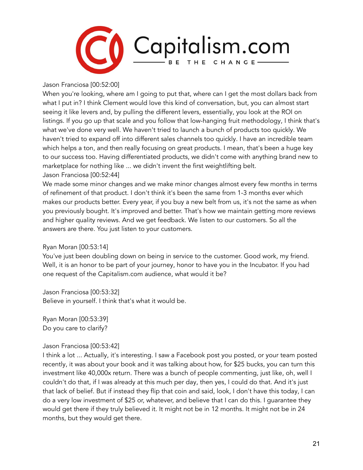

Jason Franciosa [00:52:00]

When you're looking, where am I going to put that, where can I get the most dollars back from what I put in? I think Clement would love this kind of conversation, but, you can almost start seeing it like levers and, by pulling the different levers, essentially, you look at the ROI on listings. If you go up that scale and you follow that low-hanging fruit methodology, I think that's what we've done very well. We haven't tried to launch a bunch of products too quickly. We haven't tried to expand off into different sales channels too quickly. I have an incredible team which helps a ton, and then really focusing on great products. I mean, that's been a huge key to our success too. Having differentiated products, we didn't come with anything brand new to marketplace for nothing like ... we didn't invent the first weightlifting belt. Jason Franciosa [00:52:44]

We made some minor changes and we make minor changes almost every few months in terms of refinement of that product. I don't think it's been the same from 1-3 months ever which makes our products better. Every year, if you buy a new belt from us, it's not the same as when you previously bought. It's improved and better. That's how we maintain getting more reviews and higher quality reviews. And we get feedback. We listen to our customers. So all the answers are there. You just listen to your customers.

## Ryan Moran [00:53:14]

You've just been doubling down on being in service to the customer. Good work, my friend. Well, it is an honor to be part of your journey, honor to have you in the Incubator. If you had one request of the Capitalism.com audience, what would it be?

Jason Franciosa [00:53:32] Believe in yourself. I think that's what it would be.

Ryan Moran [00:53:39] Do you care to clarify?

## Jason Franciosa [00:53:42]

I think a lot ... Actually, it's interesting. I saw a Facebook post you posted, or your team posted recently, it was about your book and it was talking about how, for \$25 bucks, you can turn this investment like 40,000x return. There was a bunch of people commenting, just like, oh, well I couldn't do that, if I was already at this much per day, then yes, I could do that. And it's just that lack of belief. But if instead they flip that coin and said, look, I don't have this today, I can do a very low investment of \$25 or, whatever, and believe that I can do this. I guarantee they would get there if they truly believed it. It might not be in 12 months. It might not be in 24 months, but they would get there.